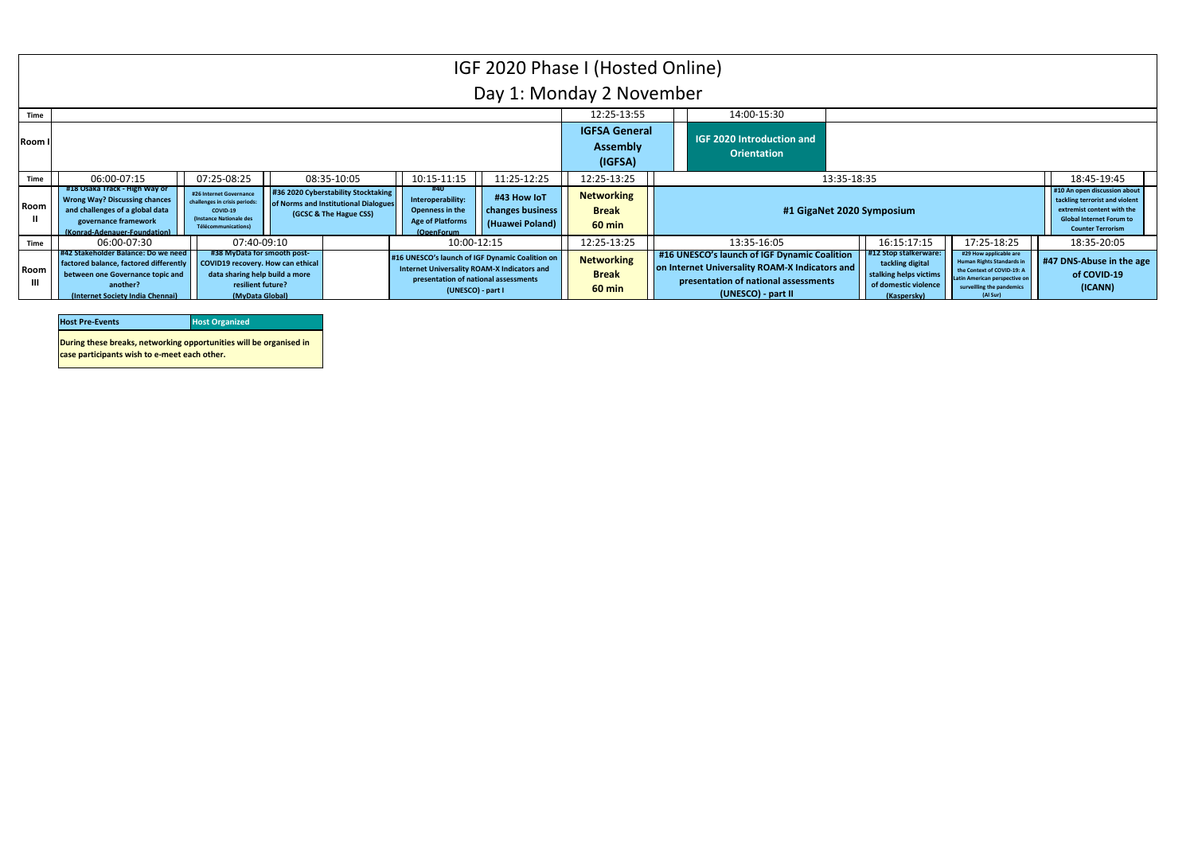| <b>Host Pre-Events</b>                                             | <b>Host Organized</b> |
|--------------------------------------------------------------------|-----------------------|
| During these breaks, networking opportunities will be organised in |                       |
| case participants wish to e-meet each other.                       |                       |



|                        |                                                                                                                                                                    |                                                                                                                                            |                                                                                                       |                                                                                                                                                             |                                                    | IGF 2020 Phase I (Hosted Online)                      |                                                                                                                                                              |             |                                                                                                           |                                                                                                                                                                   |                                                                                                                                           |
|------------------------|--------------------------------------------------------------------------------------------------------------------------------------------------------------------|--------------------------------------------------------------------------------------------------------------------------------------------|-------------------------------------------------------------------------------------------------------|-------------------------------------------------------------------------------------------------------------------------------------------------------------|----------------------------------------------------|-------------------------------------------------------|--------------------------------------------------------------------------------------------------------------------------------------------------------------|-------------|-----------------------------------------------------------------------------------------------------------|-------------------------------------------------------------------------------------------------------------------------------------------------------------------|-------------------------------------------------------------------------------------------------------------------------------------------|
|                        |                                                                                                                                                                    |                                                                                                                                            |                                                                                                       |                                                                                                                                                             |                                                    | Day 1: Monday 2 November                              |                                                                                                                                                              |             |                                                                                                           |                                                                                                                                                                   |                                                                                                                                           |
| Time                   |                                                                                                                                                                    |                                                                                                                                            |                                                                                                       |                                                                                                                                                             |                                                    | 12:25-13:55                                           | 14:00-15:30                                                                                                                                                  |             |                                                                                                           |                                                                                                                                                                   |                                                                                                                                           |
| Room I                 |                                                                                                                                                                    |                                                                                                                                            |                                                                                                       |                                                                                                                                                             |                                                    | <b>IGFSA General</b><br><b>Assembly</b><br>(IGFSA)    | <b>IGF 2020 Introduction and</b><br><b>Orientation</b>                                                                                                       |             |                                                                                                           |                                                                                                                                                                   |                                                                                                                                           |
| Time                   | 06:00-07:15                                                                                                                                                        | 07:25-08:25                                                                                                                                | 08:35-10:05                                                                                           | 10:15-11:15                                                                                                                                                 | 11:25-12:25                                        | 12:25-13:25                                           |                                                                                                                                                              | 13:35-18:35 |                                                                                                           |                                                                                                                                                                   | 18:45-19:45                                                                                                                               |
| Room                   | #18 Osaka Track - High Way or<br><b>Wrong Way? Discussing chances</b><br>and challenges of a global data<br>governance framework<br>(Konrad-Adenauer-Foundation)   | #26 Internet Governance<br>challenges in crisis periods:<br>COVID-19<br>(Instance Nationale des<br>Télécommunications)                     | #36 2020 Cyberstability Stocktaking<br>of Norms and Institutional Dialogues<br>(GCSC & The Hague CSS) | #40<br>Interoperability:<br>Openness in the<br><b>Age of Platforms</b><br>(OpenForum                                                                        | #43 How IoT<br>changes business<br>(Huawei Poland) | <b>Networking</b><br><b>Break</b><br>$60$ min         |                                                                                                                                                              |             | #1 GigaNet 2020 Symposium                                                                                 |                                                                                                                                                                   | #10 An open discussion<br>tackling terrorist and vi<br>extremist content with<br><b>Global Internet Forun</b><br><b>Counter Terrorism</b> |
| Time                   | 06:00-07:30                                                                                                                                                        | 07:40-09:10                                                                                                                                |                                                                                                       | 10:00-12:15                                                                                                                                                 |                                                    | 12:25-13:25                                           | 13:35-16:05                                                                                                                                                  |             | 16:15:17:15                                                                                               | 17:25-18:25                                                                                                                                                       | 18:35-20:05                                                                                                                               |
| Room<br>$\mathbf{III}$ | 1#42 Stakeholder Balance: Do we need<br>factored balance, factored differently<br>between one Governance topic and<br>another?<br>(Internet Society India Chennai) | #38 MyData for smooth post-<br>COVID19 recovery. How can ethical<br>data sharing help build a more<br>resilient future?<br>(MvData Global) |                                                                                                       | #16 UNESCO's launch of IGF Dynamic Coalition on<br>Internet Universality ROAM-X Indicators and<br>presentation of national assessments<br>(UNESCO) - part I |                                                    | <b>Networking</b><br><b>Break</b><br>$60 \text{ min}$ | #16 UNESCO's launch of IGF Dynamic Coalition<br>on Internet Universality ROAM-X Indicators and<br>presentation of national assessments<br>(UNESCO) - part II |             | 12 Stop stalkerware:<br>tackling digital<br>stalking helps victims<br>of domestic violence<br>(Kaspersky) | #29 How applicable are<br><b>Human Rights Standards i</b><br>the Context of COVID-19: A<br>Latin American perspective or<br>surveilling the pandemics<br>(Al Sur) | #47 DNS-Abuse in t<br>of COVID-19<br>(ICANN)                                                                                              |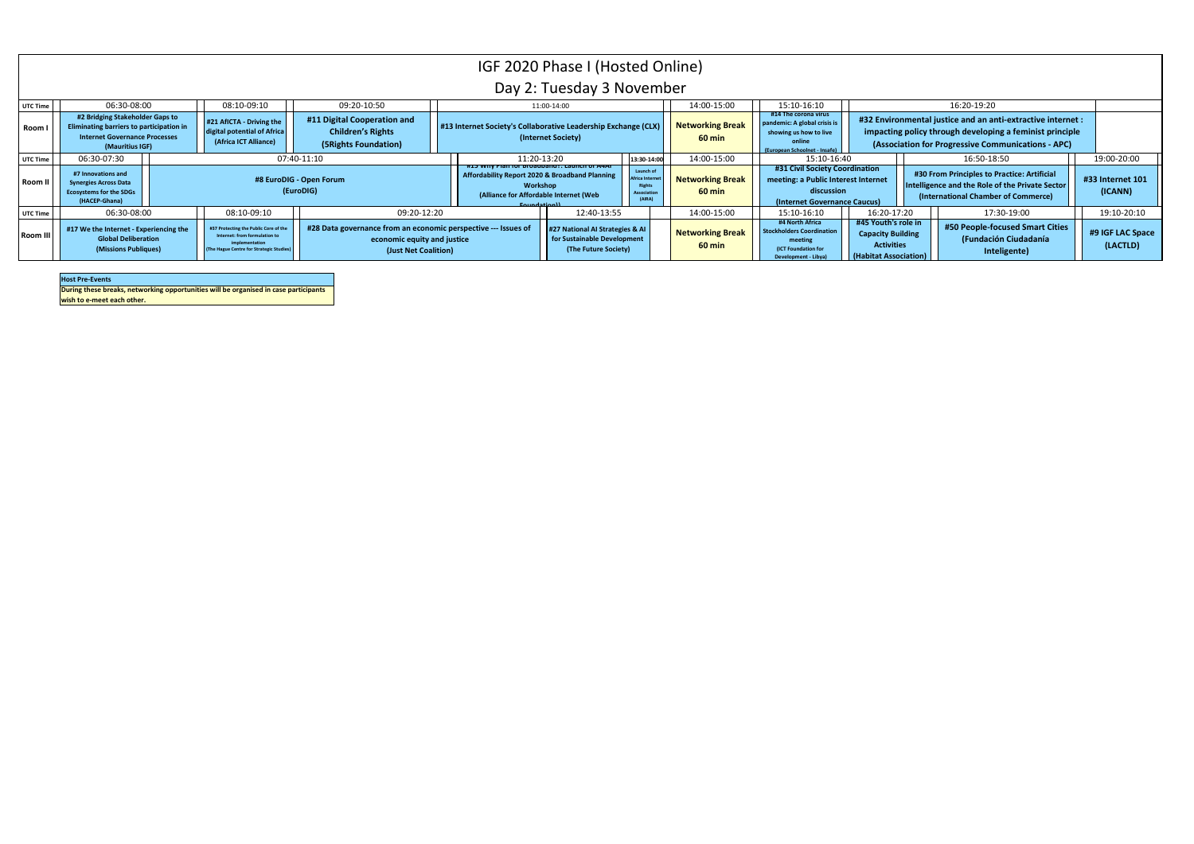**During these breaks, networking opportunities will be organised in case participants** 

**wish to e-meet each other.**

**Host Pre-Events**

|                 |                                                                                                                                        |                                                                                                                                    |                                                                                                                       | IGF 2020 Phase I (Hosted Online)                                                          | Day 2: Tuesday 3 November                                                              |             |                                                                  |                                          |                                                                                                                     |                                                                                               |                                                                                                                                                                               |                              |
|-----------------|----------------------------------------------------------------------------------------------------------------------------------------|------------------------------------------------------------------------------------------------------------------------------------|-----------------------------------------------------------------------------------------------------------------------|-------------------------------------------------------------------------------------------|----------------------------------------------------------------------------------------|-------------|------------------------------------------------------------------|------------------------------------------|---------------------------------------------------------------------------------------------------------------------|-----------------------------------------------------------------------------------------------|-------------------------------------------------------------------------------------------------------------------------------------------------------------------------------|------------------------------|
| UTC Time        | 06:30-08:00                                                                                                                            | 08:10-09:10                                                                                                                        | 09:20-10:50                                                                                                           |                                                                                           | 11:00-14:00                                                                            |             |                                                                  | 14:00-15:00                              | 15:10-16:10<br>#14 The corona virus                                                                                 |                                                                                               | 16:20-19:20                                                                                                                                                                   |                              |
| Room            | #2 Bridging Stakeholder Gaps to<br>Eliminating barriers to participation in<br><b>Internet Governance Processes</b><br>(Mauritius IGF) | #21 AfICTA - Driving the<br>digital potential of Africa<br>(Africa ICT Alliance)                                                   | #11 Digital Cooperation and<br><b>Children's Rights</b><br>(5 Rights Foundation)                                      | #13 Internet Society's Collaborative Leadership Exchange (CLX)                            | (Internet Society)                                                                     |             |                                                                  | <b>Networking Break</b><br>60 min        | pandemic: A global crisis is<br>showing us how to live<br>online<br>(European Schoolnet - Insafe)                   |                                                                                               | #32 Environmental justice and an anti-extractive internet :<br>impacting policy through developing a feminist principle<br>(Association for Progressive Communications - APC) |                              |
| UTC Time        | 06:30-07:30                                                                                                                            |                                                                                                                                    | 07:40-11:10                                                                                                           |                                                                                           | 11:20-13:20                                                                            |             | 13:30-14:00                                                      | 14:00-15:00                              | 15:10-16:40                                                                                                         |                                                                                               | 16:50-18:50                                                                                                                                                                   | 19:00-20:00                  |
| <b>Room II</b>  | #7 Innovations and<br><b>Synergies Across Data</b><br><b>Ecosystems for the SDGs</b><br>(HACEP-Ghana)                                  |                                                                                                                                    | #8 EuroDIG - Open Forum<br>(EuroDIG)                                                                                  | Affordability Report 2020 & Broadband Planning<br>(Alliance for Affordable Internet (Web) | Workshop<br>${\sf Countability}$                                                       |             | Launch of<br>frica Inte<br>Rights<br><b>Associatio</b><br>(AIRA) | <b>Networking Break</b><br>$60$ min      | #31 Civil Society Coordination<br>meeting: a Public Interest Internet<br>discussion<br>(Internet Governance Caucus) |                                                                                               | #30 From Principles to Practice: Artificial<br>Intelligence and the Role of the Private Sector<br>(International Chamber of Commerce)                                         | #33 Internet 101<br>(ICANN)  |
| UTC Time        | 06:30-08:00                                                                                                                            | 08:10-09:10                                                                                                                        | 09:20-12:20                                                                                                           |                                                                                           |                                                                                        | 12:40-13:55 |                                                                  | 14:00-15:00                              | 15:10-16:10                                                                                                         | 16:20-17:20                                                                                   | 17:30-19:00                                                                                                                                                                   | 19:10-20:10                  |
| <b>Room III</b> | #17 We the Internet - Experiencing the<br><b>Global Deliberation</b><br>(Missions Publiques)                                           | #37 Protecting the Public Core of th<br>Internet: from formulation to<br>mplementation<br>(The Hague Centre for Strategic Studies) | #28 Data governance from an economic perspective --- Issues of<br>economic equity and justice<br>(Just Net Coalition) |                                                                                           | #27 National AI Strategies & AI<br>for Sustainable Development<br>(The Future Society) |             |                                                                  | <b>Networking Break</b><br><b>60 min</b> | #4 North Africa<br><b>Stockholders Coordination</b><br>meeting<br>(ICT Foundation for<br>Development - Libya)       | #45 Youth's role in<br><b>Capacity Building</b><br><b>Activities</b><br>(Habitat Association) | #50 People-focused Smart Cities<br>(Fundación Ciudadanía<br>Inteligente)                                                                                                      | #9 IGF LAC Space<br>(LACTLD) |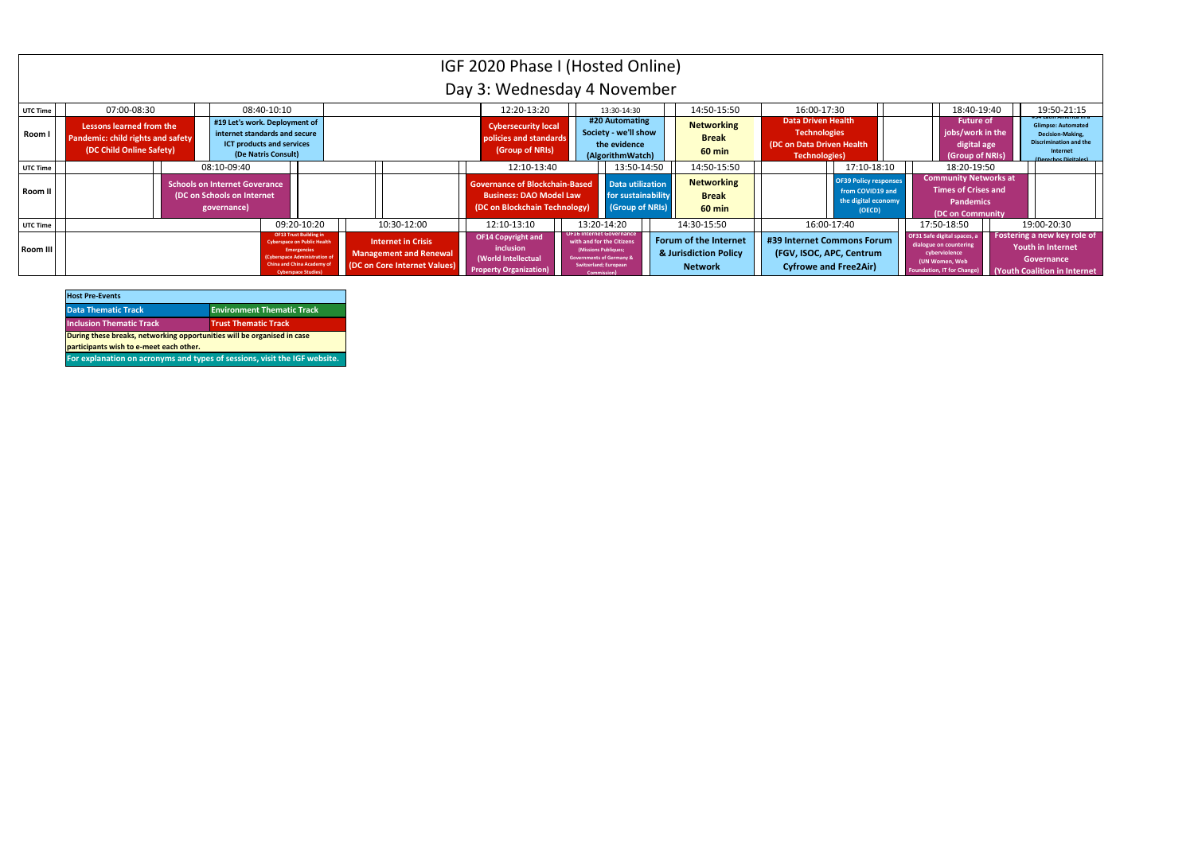| <b>Host Pre-Events</b>                                                                                             |                                   |
|--------------------------------------------------------------------------------------------------------------------|-----------------------------------|
| <b>Data Thematic Track</b>                                                                                         | <b>Environment Thematic Track</b> |
| <b>Inclusion Thematic Track</b>                                                                                    | <b>Trust Thematic Track</b>       |
| During these breaks, networking opportunities will be organised in case<br>participants wish to e-meet each other. |                                   |
| For explanation on acronyms and types of sessions, visit the IGF website.                                          |                                   |

 $\sim$ 

|          |                                                                                                  |                                                                            |                                                                                                                                                                                       |             |                                                                                            | IGF 2020 Phase I (Hosted Online)                                                                         |                                                                                                                                                                                  |                                                                         |                                                                                                        |                                                                                        |                                                                                                                             |                                                                                                    |                                                                                                                    |
|----------|--------------------------------------------------------------------------------------------------|----------------------------------------------------------------------------|---------------------------------------------------------------------------------------------------------------------------------------------------------------------------------------|-------------|--------------------------------------------------------------------------------------------|----------------------------------------------------------------------------------------------------------|----------------------------------------------------------------------------------------------------------------------------------------------------------------------------------|-------------------------------------------------------------------------|--------------------------------------------------------------------------------------------------------|----------------------------------------------------------------------------------------|-----------------------------------------------------------------------------------------------------------------------------|----------------------------------------------------------------------------------------------------|--------------------------------------------------------------------------------------------------------------------|
|          |                                                                                                  |                                                                            |                                                                                                                                                                                       |             |                                                                                            | Day 3: Wednesday 4 November                                                                              |                                                                                                                                                                                  |                                                                         |                                                                                                        |                                                                                        |                                                                                                                             |                                                                                                    |                                                                                                                    |
| UTC Time | 07:00-08:30                                                                                      |                                                                            | 08:40-10:10                                                                                                                                                                           |             |                                                                                            | 12:20-13:20                                                                                              | 13:30-14:30                                                                                                                                                                      | 14:50-15:50                                                             | 16:00-17:30                                                                                            |                                                                                        |                                                                                                                             | 18:40-19:40                                                                                        | 19:50-21:15                                                                                                        |
| Room I   | Lessons learned from the<br><b>Pandemic: child rights and safety</b><br>(DC Child Online Safety) | #19 Let's work. Deployment of<br>internet standards and secure             | <b>ICT products and services</b><br>(De Natris Consult)                                                                                                                               |             |                                                                                            | <b>Cybersecurity local</b><br>policies and standards<br>(Group of NRIs)                                  | #20 Automating<br>Society - we'll show<br>the evidence<br>(AlgorithmWatch)                                                                                                       | <b>Networking</b><br><b>Break</b><br>$60 \text{ min}$                   | <b>Data Driven Health</b><br><b>Technologies</b><br>(DC on Data Driven Health<br><b>Technologies</b> ) |                                                                                        |                                                                                                                             | <b>Future of</b><br>jobs/work in the<br>digital age<br>(Group of NRIs)                             | <b>Glimpse: Automated</b><br>Decision-Making,<br><b>Discrimination and the</b><br>Internet<br>(Derechos Digitales) |
| UTC Time |                                                                                                  | 08:10-09:40                                                                |                                                                                                                                                                                       |             |                                                                                            | 12:10-13:40                                                                                              | 13:50-14:50                                                                                                                                                                      | 14:50-15:50                                                             |                                                                                                        | 17:10-18:10                                                                            |                                                                                                                             | 18:20-19:50                                                                                        |                                                                                                                    |
| Room II  |                                                                                                  | Schools on Internet Goverance<br>(DC on Schools on Internet<br>governance) |                                                                                                                                                                                       |             |                                                                                            | <b>Governance of Blockchain-Based</b><br><b>Business: DAO Model Law</b><br>(DC on Blockchain Technology) | <b>Data utilization</b><br>for sustainability<br>(Group of NRIs)                                                                                                                 | <b>Networking</b><br><b>Break</b><br>$60 \text{ min}$                   |                                                                                                        | <b>OF39 Policy responses</b><br>from COVID19 and<br>the digital economy<br>(OECD)      |                                                                                                                             | <b>Community Networks at</b><br><b>Times of Crises and</b><br><b>Pandemics</b><br>(DC on Community |                                                                                                                    |
| UTC Time |                                                                                                  |                                                                            |                                                                                                                                                                                       | 09:20-10:20 | 10:30-12:00                                                                                | 12:10-13:10                                                                                              | 13:20-14:20                                                                                                                                                                      | 14:30-15:50                                                             |                                                                                                        | 16:00-17:40                                                                            | 17:50-18:50                                                                                                                 |                                                                                                    | 19:00-20:30                                                                                                        |
| Room III |                                                                                                  |                                                                            | OF13 Trust Building in<br><b>Cyberspace on Public Health</b><br><b>Emergencies</b><br>(Cyberspace Administration o<br><b>China and China Academy of</b><br><b>Cyberspace Studies)</b> |             | <b>Internet in Crisis</b><br><b>Management and Renewal</b><br>(DC on Core Internet Values) | <b>OF14 Copyright and</b><br>inclusion<br>(World Intellectual<br><b>Property Organization)</b>           | <b>OF16 Internet Governance</b><br>with and for the Citizens<br>(Missions Publiques;<br><b>Governments of Germany &amp;</b><br><b>Switzerland; European</b><br><b>Commission</b> | <b>Forum of the Internet</b><br>& Jurisdiction Policy<br><b>Network</b> |                                                                                                        | #39 Internet Commons Forum<br>(FGV, ISOC, APC, Centrum<br><b>Cyfrowe and Free2Air)</b> | OF31 Safe digital spaces,<br>dialogue on countering<br>cyberviolence<br>(UN Women, Web<br><b>Foundation, IT for Change)</b> |                                                                                                    | Fostering a new key role of<br><b>Youth in Internet</b><br>Governance<br>Youth Coalition in Internet               |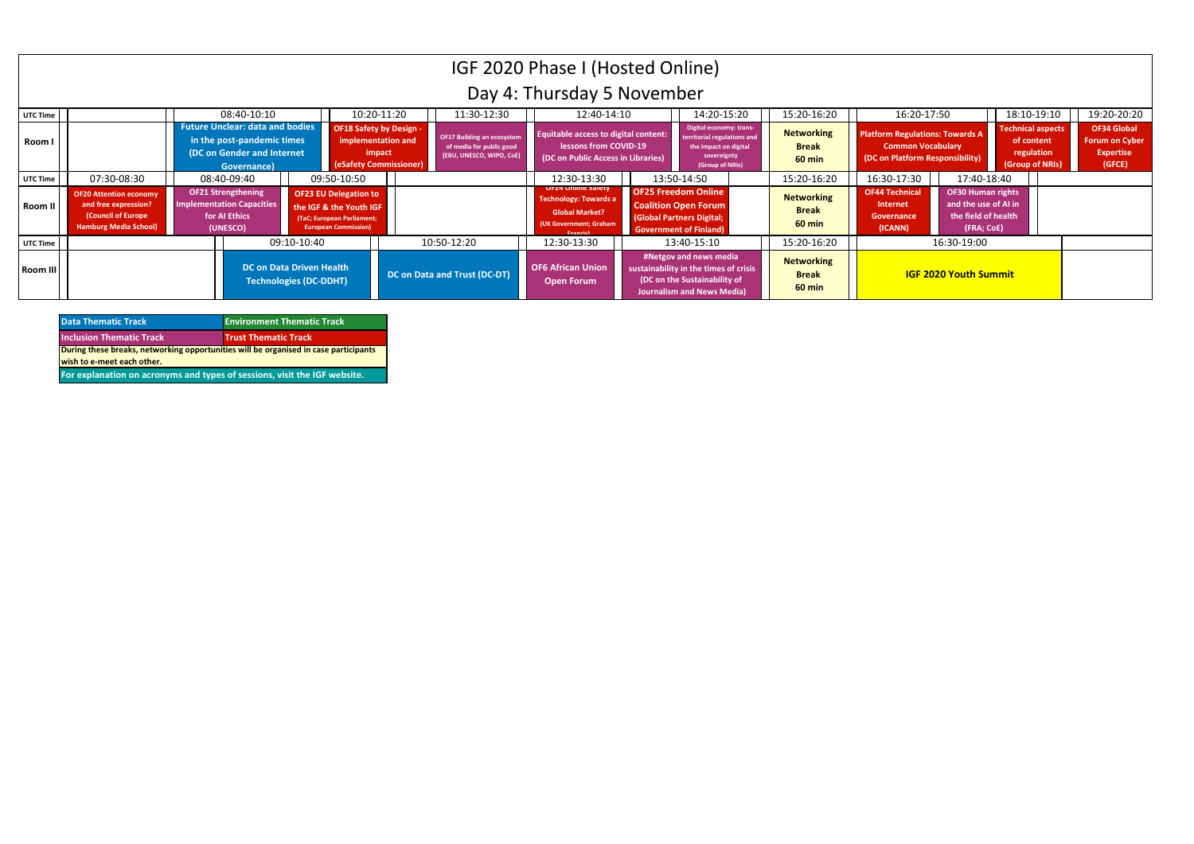| <b>Data Thematic Track</b>                                                           | <b>Environment Thematic Track</b> |
|--------------------------------------------------------------------------------------|-----------------------------------|
| <b>Inclusion Thematic Track</b>                                                      | <b>Trust Thematic Track</b>       |
| During these breaks, networking opportunities will be organised in case participants |                                   |
| wish to e-meet each other.                                                           |                                   |
| For explanation on acronyms and types of sessions, visit the IGF website.            |                                   |

|          |                                                                                                             |  |                                                                                                                   |             |                                                                                                                      |                                                                                          |                                                                                           | IGF 2020 Phase I (Hosted Online)                                                                                                |                                                                                                                                      |                                                    |                                                                                                       |                                                                                       |                                                                         |                                                                           |
|----------|-------------------------------------------------------------------------------------------------------------|--|-------------------------------------------------------------------------------------------------------------------|-------------|----------------------------------------------------------------------------------------------------------------------|------------------------------------------------------------------------------------------|-------------------------------------------------------------------------------------------|---------------------------------------------------------------------------------------------------------------------------------|--------------------------------------------------------------------------------------------------------------------------------------|----------------------------------------------------|-------------------------------------------------------------------------------------------------------|---------------------------------------------------------------------------------------|-------------------------------------------------------------------------|---------------------------------------------------------------------------|
|          |                                                                                                             |  |                                                                                                                   |             |                                                                                                                      |                                                                                          |                                                                                           | Day 4: Thursday 5 November                                                                                                      |                                                                                                                                      |                                                    |                                                                                                       |                                                                                       |                                                                         |                                                                           |
| UTC Time |                                                                                                             |  | 08:40-10:10                                                                                                       |             |                                                                                                                      | 10:20-11:20                                                                              | 11:30-12:30                                                                               | 12:40-14:10                                                                                                                     | 14:20-15:20                                                                                                                          | 15:20-16:20                                        | 16:20-17:50                                                                                           |                                                                                       | 18:10-19:10                                                             | 19:20-20:20                                                               |
| Room I   |                                                                                                             |  | <b>Future Unclear: data and bodies</b><br>in the post-pandemic times<br>(DC on Gender and Internet<br>Governance) |             |                                                                                                                      | <b>OF18 Safety by Design -</b><br>implementation and<br>impact<br>(eSafety Commissioner) | <b>OF17 Building an ecosystem</b><br>of media for public good<br>(EBU, UNESCO, WIPO, CoE) | <b>Equitable access to digital content:</b><br>lessons from COVID-19<br>(DC on Public Access in Libraries)                      | Digital economy: trans-<br>erritorial regulations and<br>the impact on digital<br>sovereignty<br>(Group of NRIs)                     | <b>Networking</b><br><b>Break</b><br>60 min        | <b>Platform Regulations: Towards A</b><br><b>Common Vocabulary</b><br>(DC on Platform Responsibility) |                                                                                       | <b>Technical aspects</b><br>of content<br>regulation<br>(Group of NRIs) | <b>OF34 Global</b><br><b>Forum on Cyber</b><br><b>Expertise</b><br>(GFCE) |
| UTC Time | 07:30-08:30                                                                                                 |  | 08:40-09:40                                                                                                       |             | 09:50-10:50                                                                                                          |                                                                                          |                                                                                           | 12:30-13:30                                                                                                                     | 13:50-14:50                                                                                                                          | 15:20-16:20                                        | 16:30-17:30                                                                                           | 17:40-18:40                                                                           |                                                                         |                                                                           |
| Room II  | <b>OF20 Attention economy</b><br>and free expression?<br>(Council of Europe<br><b>Hamburg Media School)</b> |  | <b>OF21 Strengthening</b><br><b>Implementation Capacities</b><br>for AI Ethics<br>(UNESCO)                        |             | <b>OF23 EU Delegation to</b><br>the IGF & the Youth IGF<br>(TaC; European Parliament;<br><b>European Commission)</b> |                                                                                          |                                                                                           | <b>UFZ4 Unline Safety</b><br><b>Technology: Towards a</b><br><b>Global Market?</b><br>(UK Government; Graham<br><b>Francish</b> | <b>OF25 Freedom Online</b><br><b>Coalition Open Forum</b><br>(Global Partners Digital;<br><b>Government of Finland)</b>              | <b>Networking</b><br><b>Break</b><br><b>60 min</b> | <b>OF44 Technical</b><br><b>Internet</b><br><b>Governance</b><br>(ICANN)                              | <b>OF30 Human rights</b><br>and the use of AI in<br>the field of health<br>(FRA; CoE) |                                                                         |                                                                           |
| UTC Time |                                                                                                             |  |                                                                                                                   | 09:10-10:40 |                                                                                                                      |                                                                                          | 10:50-12:20                                                                               | 12:30-13:30                                                                                                                     | 13:40-15:10                                                                                                                          | 15:20-16:20                                        |                                                                                                       | 16:30-19:00                                                                           |                                                                         |                                                                           |
| Room III |                                                                                                             |  | DC on Data Driven Health<br><b>Technologies (DC-DDHT)</b>                                                         |             |                                                                                                                      |                                                                                          | <b>DC on Data and Trust (DC-DT)</b>                                                       | <b>OF6 African Union</b><br><b>Open Forum</b>                                                                                   | #Netgov and news media<br>sustainability in the times of crisis<br>(DC on the Sustainability of<br><b>Journalism and News Media)</b> | <b>Networking</b><br><b>Break</b><br>60 min        |                                                                                                       | <b>IGF 2020 Youth Summit</b>                                                          |                                                                         |                                                                           |